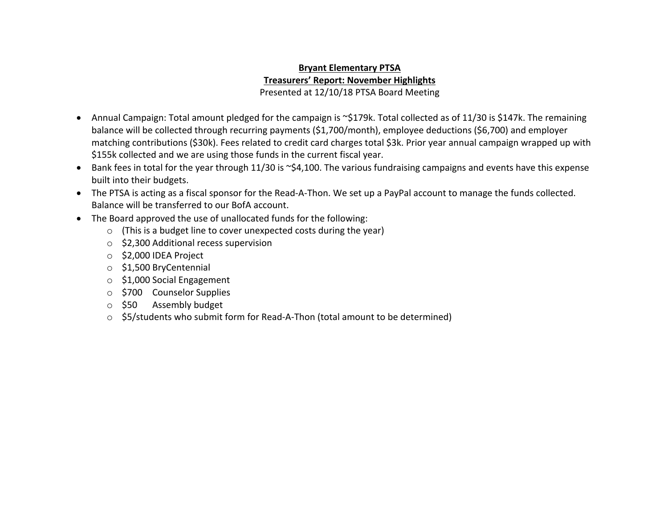## **Bryant Elementary PTSA Treasurers' Report: November Highlights** Presented at 12/10/18 PTSA Board Meeting

- Annual Campaign: Total amount pledged for the campaign is ~\$179k. Total collected as of 11/30 is \$147k. The remaining balance will be collected through recurring payments (\$1,700/month), employee deductions (\$6,700) and employer matching contributions (\$30k). Fees related to credit card charges total \$3k. Prior year annual campaign wrapped up with \$155k collected and we are using those funds in the current fiscal year.
- Bank fees in total for the year through 11/30 is ~\$4,100. The various fundraising campaigns and events have this expense built into their budgets.
- The PTSA is acting as a fiscal sponsor for the Read-A-Thon. We set up a PayPal account to manage the funds collected. Balance will be transferred to our BofA account.
- The Board approved the use of unallocated funds for the following:
	- o (This is a budget line to cover unexpected costs during the year)
	- o \$2,300 Additional recess supervision
	- o \$2,000 IDEA Project
	- o \$1,500 BryCentennial
	- o \$1,000 Social Engagement
	- o \$700 Counselor Supplies
	- o \$50 Assembly budget
	- $\circ$  \$5/students who submit form for Read-A-Thon (total amount to be determined)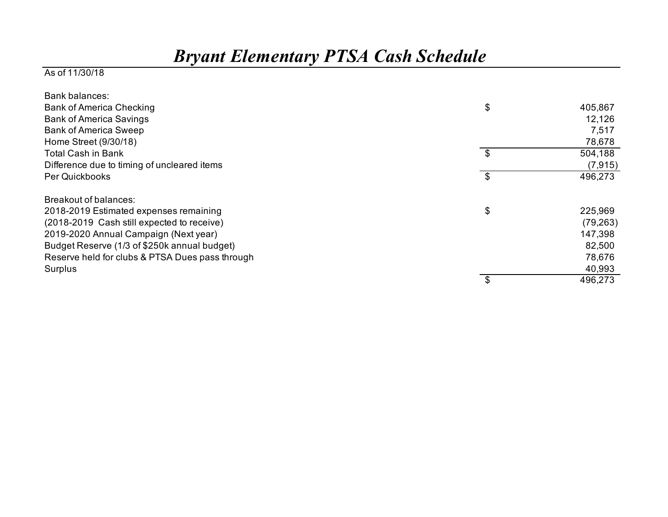## *Bryant Elementary PTSA Cash Schedule*

## As of 11/30/18

| Bank balances:                                  |               |
|-------------------------------------------------|---------------|
| <b>Bank of America Checking</b>                 | \$<br>405,867 |
| <b>Bank of America Savings</b>                  | 12,126        |
| <b>Bank of America Sweep</b>                    | 7,517         |
| Home Street (9/30/18)                           | 78,678        |
| <b>Total Cash in Bank</b>                       | \$<br>504,188 |
| Difference due to timing of uncleared items     | (7, 915)      |
| Per Quickbooks                                  | \$<br>496,273 |
| Breakout of balances:                           |               |
| 2018-2019 Estimated expenses remaining          | \$<br>225,969 |
| (2018-2019 Cash still expected to receive)      | (79, 263)     |
| 2019-2020 Annual Campaign (Next year)           | 147,398       |
| Budget Reserve (1/3 of \$250k annual budget)    | 82,500        |
| Reserve held for clubs & PTSA Dues pass through | 78,676        |
| Surplus                                         | 40,993        |
|                                                 | 496,273       |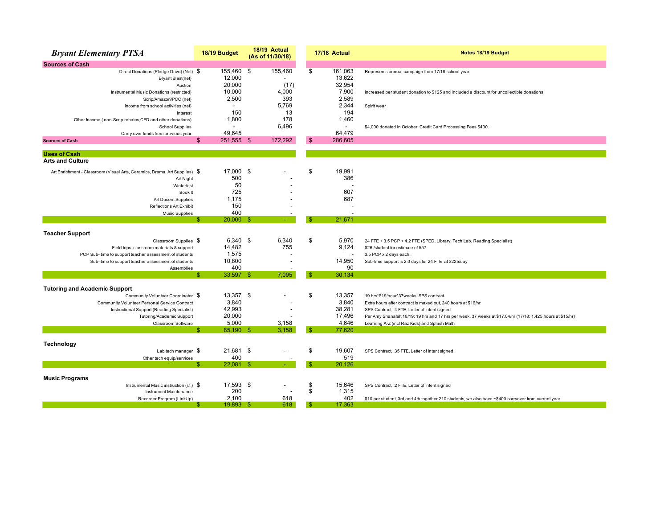| <b>Bryant Elementary PTSA</b>                                                                                                          | 18/19 Budget                                      | 18/19 Actual<br>(As of 11/30/18) |     | 17/18 Actual                         | Notes 18/19 Budget                                                                                                                               |  |
|----------------------------------------------------------------------------------------------------------------------------------------|---------------------------------------------------|----------------------------------|-----|--------------------------------------|--------------------------------------------------------------------------------------------------------------------------------------------------|--|
| <b>Sources of Cash</b>                                                                                                                 |                                                   |                                  |     |                                      |                                                                                                                                                  |  |
| Direct Donations (Pledge Drive) (Net) \$<br>Bryant Blast(net)<br>Auction<br>Instrumental Music Donations (restricted)                  | 155,460 \$<br>12,000<br>20,000<br>10,000          | 155,460<br>(17)<br>4,000         | \$  | 161,063<br>13,622<br>32,954<br>7,900 | Represents annual campaign from 17/18 school year<br>Increased per student donation to \$125 and included a discount for uncollectible donations |  |
| Scrip/Amazon/PCC (net)<br>Income from school activities (net)<br>Interest<br>Other Income (non-Scrip rebates, CFD and other donations) | 2,500<br>$\overline{\phantom{a}}$<br>150<br>1,800 | 393<br>5,769<br>13<br>178        |     | 2,589<br>2,344<br>194<br>1,460       | Spirit wear                                                                                                                                      |  |
| <b>School Supplies</b><br>Carry over funds from previous year                                                                          | 49,645                                            | 6,496                            |     | 64,479                               | \$4,000 donated in October. Credit Card Processing Fees \$430.                                                                                   |  |
| <b>Sources of Cash</b>                                                                                                                 | 251,555 \$<br>\$                                  | 172,292                          | \$  | 286,605                              |                                                                                                                                                  |  |
| <b>Uses of Cash</b>                                                                                                                    |                                                   |                                  |     |                                      |                                                                                                                                                  |  |
| <b>Arts and Culture</b>                                                                                                                |                                                   |                                  |     |                                      |                                                                                                                                                  |  |
| Art Enrichment - Classroom (Visual Arts, Ceramics, Drama, Art Supplies) \$<br>Art Night                                                | 17,000<br>500                                     | \$                               | \$  | 19,991<br>386                        |                                                                                                                                                  |  |
| Winterfest<br>Book It                                                                                                                  | 50<br>725                                         |                                  |     | 607                                  |                                                                                                                                                  |  |
| Art Docent Supplies                                                                                                                    | 1,175                                             |                                  |     | 687                                  |                                                                                                                                                  |  |
| <b>Reflections Art Exhibit</b>                                                                                                         | 150                                               |                                  |     |                                      |                                                                                                                                                  |  |
| <b>Music Supplies</b>                                                                                                                  | 400                                               |                                  |     |                                      |                                                                                                                                                  |  |
|                                                                                                                                        | $20,000$ \$                                       |                                  |     | 21.671                               |                                                                                                                                                  |  |
| <b>Teacher Support</b>                                                                                                                 |                                                   |                                  |     |                                      |                                                                                                                                                  |  |
| Classroom Supplies \$                                                                                                                  | 6,340 \$                                          | 6,340                            | \$  | 5,970                                | 24 FTE + 3.5 PCP + 4.2 FTE (SPED, Library, Tech Lab, Reading Specialist)                                                                         |  |
| Field trips, classroom materials & support                                                                                             | 14,482                                            | 755                              |     | 9,124                                | \$26 /student for estimate of 557                                                                                                                |  |
| PCP Sub- time to support teacher assessment of students                                                                                | 1,575                                             |                                  |     | $\overline{\phantom{a}}$             | 3.5 PCP x 2 days each.                                                                                                                           |  |
| Sub-time to support teacher assessment of students                                                                                     | 10,800                                            |                                  |     | 14,950                               | Sub-time support is 2.0 days for 24 FTE at \$225/day                                                                                             |  |
| Assemblies                                                                                                                             | 400<br>33,597 \$                                  | 7,095                            | S.  | 90<br>30,134                         |                                                                                                                                                  |  |
|                                                                                                                                        |                                                   |                                  |     |                                      |                                                                                                                                                  |  |
| <b>Tutoring and Academic Support</b>                                                                                                   |                                                   |                                  |     |                                      |                                                                                                                                                  |  |
| Community Volunteer Coordinator \$                                                                                                     | 13,357 \$                                         |                                  | \$  | 13,357                               | 19 hrs*\$19/hour*37weeks, SPS contract                                                                                                           |  |
| Community Volunteer Personal Service Contract                                                                                          | 3,840                                             |                                  |     | 3,840                                | Extra hours after contract is maxed out, 240 hours at \$16/hr                                                                                    |  |
| Instructional Support (Reading Specialist)                                                                                             | 42,993                                            |                                  |     | 38,281                               | SPS Contract, .4 FTE, Letter of Intent signed                                                                                                    |  |
| Tutoring/Academic Support                                                                                                              | 20,000<br>5.000                                   | 3,158                            |     | 17,496<br>4.646                      | Per Amy Shanafelt 18/19: 19 hrs and 17 hrs per week, 37 weeks at \$17.04/hr (17/18: 1,425 hours at \$15/hr)                                      |  |
| Classroom Software                                                                                                                     | 85,190 \$<br>Æ                                    | 3,158                            | -96 | 77,620                               | Learning A-Z (incl Raz Kids) and Splash Math                                                                                                     |  |
|                                                                                                                                        |                                                   |                                  |     |                                      |                                                                                                                                                  |  |
| Technology                                                                                                                             |                                                   |                                  |     |                                      |                                                                                                                                                  |  |
| Lab tech manager $\sqrt$                                                                                                               | 21,681 \$                                         |                                  | \$  | 19,607                               | SPS Contract, .35 FTE, Letter of Intent signed                                                                                                   |  |
| Other tech equip/services                                                                                                              | 400                                               |                                  |     | 519                                  |                                                                                                                                                  |  |
|                                                                                                                                        | $22,081$ \$<br>-S                                 | $\omega$ .                       |     | 20,126                               |                                                                                                                                                  |  |
| <b>Music Programs</b>                                                                                                                  |                                                   |                                  |     |                                      |                                                                                                                                                  |  |
| Instrumental Music instruction (r.f.) $\$$                                                                                             | 17,593 \$                                         |                                  | \$  | 15,646                               | SPS Contract, .2 FTE, Letter of Intent signed                                                                                                    |  |
| Instrument Maintenance                                                                                                                 | 200                                               |                                  | \$  | 1,315                                |                                                                                                                                                  |  |
| Recorder Program (LinkUp)                                                                                                              | 2,100                                             | 618                              |     | 402                                  | \$10 per student, 3rd and 4th together 210 students, we also have ~\$400 carryover from current year                                             |  |
|                                                                                                                                        | 19,893 \$                                         | 618                              | -SS | 17,363                               |                                                                                                                                                  |  |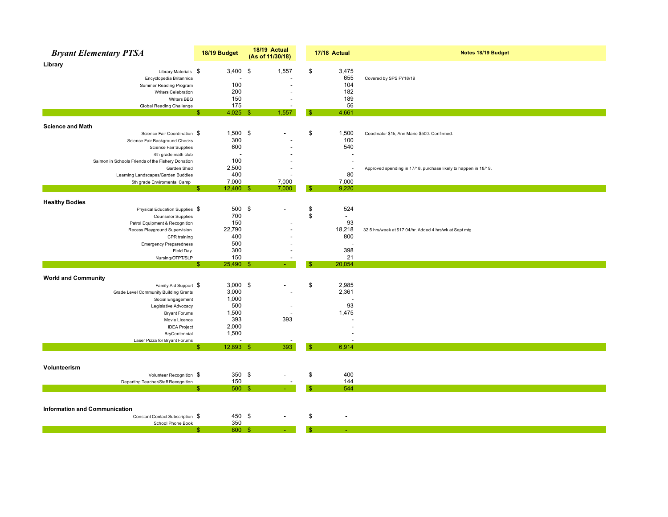| <b>Bryant Elementary PTSA</b>                     | 18/19 Budget    | 18/19 Actual<br>(As of 11/30/18) | 17/18 Actual             | Notes 18/19 Budget                                              |
|---------------------------------------------------|-----------------|----------------------------------|--------------------------|-----------------------------------------------------------------|
| Library                                           |                 |                                  |                          |                                                                 |
| Library Materials \$                              | $3,400$ \$      | 1,557                            | \$<br>3,475              |                                                                 |
| Encyclopedia Britannica                           |                 |                                  | 655                      | Covered by SPS FY18/19                                          |
| Summer Reading Program                            | 100             |                                  | 104                      |                                                                 |
| Writers Celebration                               | 200             |                                  | 182                      |                                                                 |
| Writers BBQ                                       | 150             |                                  | 189                      |                                                                 |
| Global Reading Challenge                          | 175             |                                  | 56                       |                                                                 |
|                                                   | $4,025$ \$<br>S | 1,557                            | $\mathbf{s}$<br>4,661    |                                                                 |
| <b>Science and Math</b>                           |                 |                                  |                          |                                                                 |
| Science Fair Coordination \$                      | $1,500$ \$      |                                  | \$<br>1,500              | Coodinator \$1k, Ann Marie \$500. Confirmed.                    |
| Science Fair Background Checks                    | 300             |                                  | 100                      |                                                                 |
| Science Fair Supplies                             | 600             |                                  | 540                      |                                                                 |
| 4th grade math club                               | J.              |                                  |                          |                                                                 |
| Salmon in Schools Friends of the Fishery Donation | 100             |                                  |                          |                                                                 |
| Garden Shed                                       | 2,500           |                                  | $\overline{\phantom{a}}$ | Approved spending in 17/18, purchase likely to happen in 18/19. |
| Learning Landscapes/Garden Buddies                | 400             |                                  | 80                       |                                                                 |
| 5th grade Enviromental Camp                       | 7,000           | 7,000                            | 7,000                    |                                                                 |
|                                                   | $12,400$ \$     | 7,000                            | 9.220<br>Я               |                                                                 |
| <b>Healthy Bodies</b>                             |                 |                                  |                          |                                                                 |
| Physical Education Supplies \$                    | 500             | \$                               | \$<br>524                |                                                                 |
| <b>Counselor Supplies</b>                         | 700             |                                  | \$<br>$\sim$             |                                                                 |
| Patrol Equipment & Recognition                    | 150             |                                  | 93                       |                                                                 |
| Recess Playground Supervision                     | 22,790          |                                  | 18,218                   | 32.5 hrs/week at \$17.04/hr. Added 4 hrs/wk at Sept mtg         |
| CPR training                                      | 400             |                                  | 800                      |                                                                 |
| <b>Emergency Preparedness</b>                     | 500             |                                  |                          |                                                                 |
| Field Day                                         | 300             |                                  | 398                      |                                                                 |
| Nursing/OTPT/SLP                                  | 150             |                                  | 21                       |                                                                 |
|                                                   | 25,490 \$<br>\$ |                                  | 20,054<br>-\$            |                                                                 |
| <b>World and Community</b>                        |                 |                                  |                          |                                                                 |
| Family Aid Support \$                             | $3,000$ \$      |                                  | \$<br>2,985              |                                                                 |
| Grade Level Community Building Grants             | 3,000           |                                  | 2,361                    |                                                                 |
| Social Engagement                                 | 1,000           |                                  |                          |                                                                 |
| Legislative Advocacy                              | 500             |                                  | 93                       |                                                                 |
| <b>Bryant Forums</b>                              | 1,500           |                                  | 1,475                    |                                                                 |
| Movie Licence                                     | 393             | 393                              |                          |                                                                 |
| <b>IDEA Project</b>                               | 2,000           |                                  |                          |                                                                 |
| BryCentennial                                     | 1,500           |                                  |                          |                                                                 |
| Laser Pizza for Bryant Forums                     |                 |                                  |                          |                                                                 |
|                                                   | 12,893 \$<br>\$ | 393                              | -\$<br>6,914             |                                                                 |
|                                                   |                 |                                  |                          |                                                                 |
| Volunteerism                                      |                 |                                  |                          |                                                                 |
| Volunteer Recognition \$                          | 350 \$          |                                  | \$<br>400                |                                                                 |
| Departing Teacher/Staff Recognition               | 150             |                                  | 144                      |                                                                 |
|                                                   | 500S<br>\$      |                                  | 544<br>\$.               |                                                                 |
|                                                   |                 |                                  |                          |                                                                 |
| <b>Information and Communication</b>              |                 |                                  |                          |                                                                 |
| Constant Contact Subscription \$                  | 450 \$          |                                  | \$                       |                                                                 |
| School Phone Book                                 | 350             |                                  |                          |                                                                 |
|                                                   | 800 \$<br>\$.   |                                  | $\mathbb{S}$<br>÷.       |                                                                 |